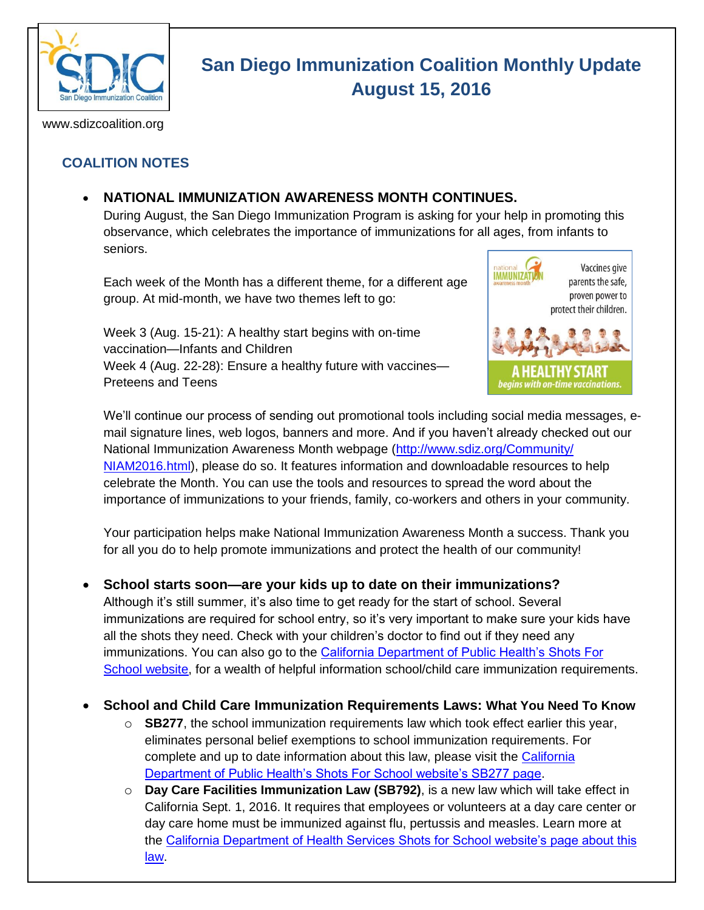

# **San Diego Immunization Coalition Monthly Update August 15, 2016**

www.sdizcoalition.org

## **COALITION NOTES**

## **NATIONAL IMMUNIZATION AWARENESS MONTH CONTINUES.**

During August, the San Diego Immunization Program is asking for your help in promoting this observance, which celebrates the importance of immunizations for all ages, from infants to seniors.

Each week of the Month has a different theme, for a different age group. At mid-month, we have two themes left to go:

Week 3 (Aug. 15-21): A healthy start begins with on-time vaccination—Infants and Children Week 4 (Aug. 22-28): Ensure a healthy future with vaccines— Preteens and Teens



We'll continue our process of sending out promotional tools including social media messages, email signature lines, web logos, banners and more. And if you haven't already checked out our National Immunization Awareness Month webpage [\(http://www.sdiz.org/Community/](http://www.sdiz.org/Community/%20NIAM2016.html)  [NIAM2016.html\)](http://www.sdiz.org/Community/%20NIAM2016.html), please do so. It features information and downloadable resources to help celebrate the Month. You can use the tools and resources to spread the word about the importance of immunizations to your friends, family, co-workers and others in your community.

Your participation helps make National Immunization Awareness Month a success. Thank you for all you do to help promote immunizations and protect the health of our community!

**School starts soon—are your kids up to date on their immunizations?**

Although it's still summer, it's also time to get ready for the start of school. Several immunizations are required for school entry, so it's very important to make sure your kids have all the shots they need. Check with your children's doctor to find out if they need any immunizations. You can also go to the [California Department of Public Health's Shots For](http://www.shotsforschool.org/)  [School webs](http://www.shotsforschool.org/)ite, for a wealth of helpful information school/child care immunization requirements.

## **School and Child Care Immunization Requirements Laws: What You Need To Know**

- o **SB277**, the school immunization requirements law which took effect earlier this year, eliminates personal belief exemptions to school immunization requirements. For complete and up to date information about this law, please visit the California [Department of Public Health's Shots For School website's SB277 page.](http://www.shotsforschool.org/laws/exemptions/)
- o **Day Care Facilities Immunization Law (SB792)**, is a new law which will take effect in California Sept. 1, 2016. It requires that employees or volunteers at a day care center or day care home must be immunized against flu, pertussis and measles. Learn more at the [California Department of Health Services Shots for School website's page about this](http://www.shotsforschool.org/child-care/requirements-for-employees-and-volunteers-at-day-care-centers/)  [law.](http://www.shotsforschool.org/child-care/requirements-for-employees-and-volunteers-at-day-care-centers/)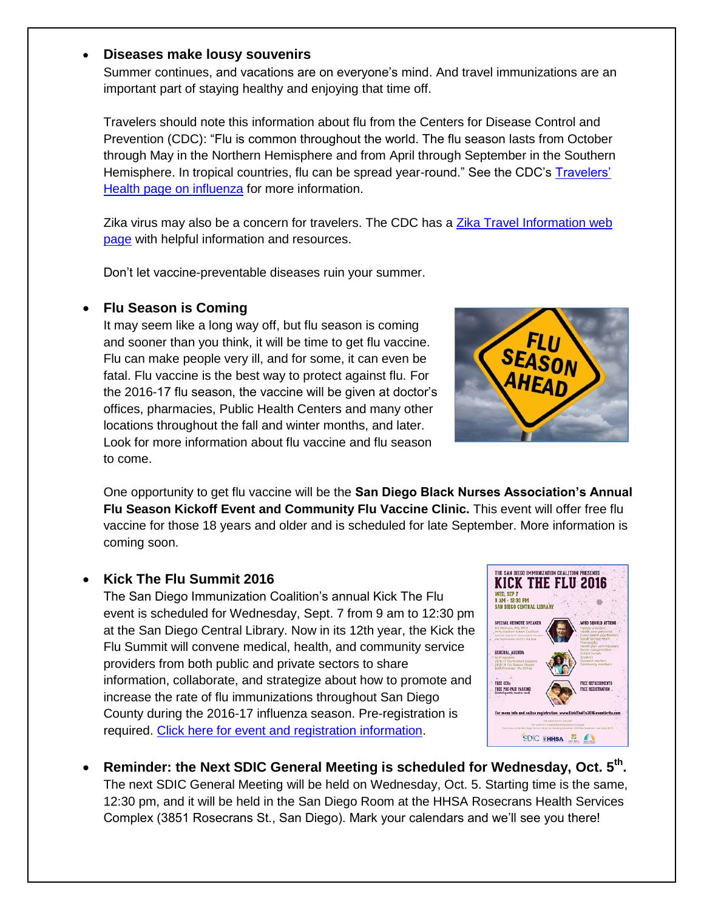#### **Diseases make lousy souvenirs**

Summer continues, and vacations are on everyone's mind. And travel immunizations are an important part of staying healthy and enjoying that time off.

Travelers should note this information about flu from the Centers for Disease Control and Prevention (CDC): "Flu is common throughout the world. The flu season lasts from October through May in the Northern Hemisphere and from April through September in the Southern Hemisphere. In tropical countries, flu can be spread year-round." See the CDC's [Travelers'](http://wwwnc.cdc.gov/travel/diseases/influenza-seasonal-zoonotic-and-pandemic)  [Health page on influenza](http://wwwnc.cdc.gov/travel/diseases/influenza-seasonal-zoonotic-and-pandemic) for more information.

Zika virus may also be a concern for travelers. The CDC has a [Zika Travel Information web](http://wwwnc.cdc.gov/travel/page/zika-information)  [page](http://wwwnc.cdc.gov/travel/page/zika-information) with helpful information and resources.

Don't let vaccine-preventable diseases ruin your summer.

### **Flu Season is Coming**

It may seem like a long way off, but flu season is coming and sooner than you think, it will be time to get flu vaccine. Flu can make people very ill, and for some, it can even be fatal. Flu vaccine is the best way to protect against flu. For the 2016-17 flu season, the vaccine will be given at doctor's offices, pharmacies, Public Health Centers and many other locations throughout the fall and winter months, and later. Look for more information about flu vaccine and flu season to come.



One opportunity to get flu vaccine will be the **San Diego Black Nurses Association's Annual Flu Season Kickoff Event and Community Flu Vaccine Clinic.** This event will offer free flu vaccine for those 18 years and older and is scheduled for late September. More information is coming soon.

#### **Kick The Flu Summit 2016**

The San Diego Immunization Coalition's annual Kick The Flu event is scheduled for Wednesday, Sept. 7 from 9 am to 12:30 pm at the San Diego Central Library. Now in its 12th year, the Kick the Flu Summit will convene medical, health, and community service providers from both public and private sectors to share information, collaborate, and strategize about how to promote and increase the rate of flu immunizations throughout San Diego County during the 2016-17 influenza season. Pre-registration is required. [Click here for event and registration information.](http://www.eventbrite.com/e/kick-the-flu-summit-2016-registration-26611945044)



• Reminder: the Next SDIC General Meeting is scheduled for Wednesday, Oct. 5<sup>th</sup>. The next SDIC General Meeting will be held on Wednesday, Oct. 5. Starting time is the same, 12:30 pm, and it will be held in the San Diego Room at the HHSA Rosecrans Health Services Complex (3851 Rosecrans St., San Diego). Mark your calendars and we'll see you there!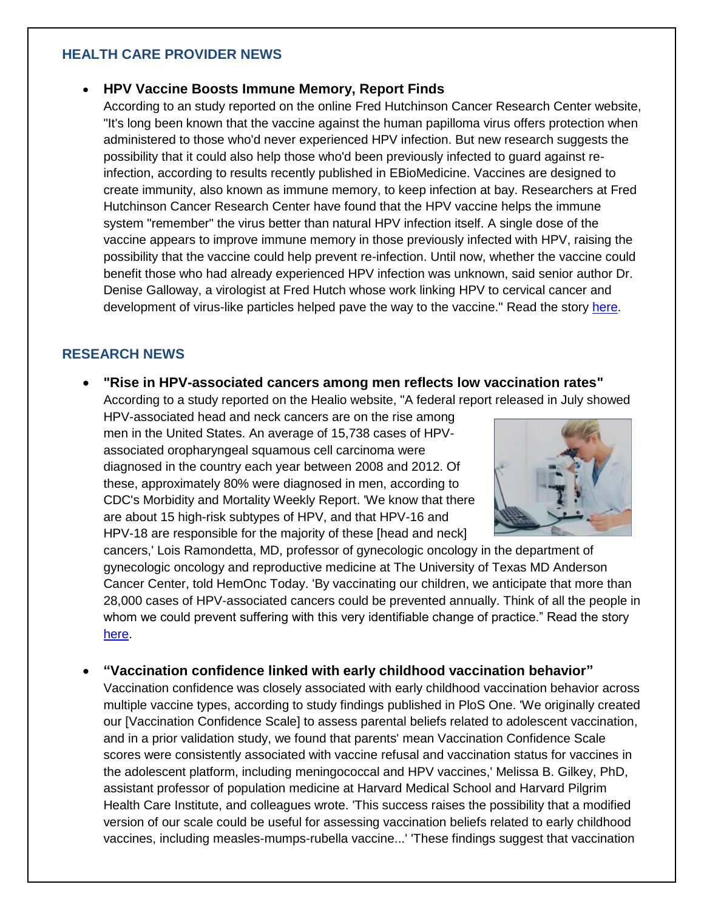#### **HEALTH CARE PROVIDER NEWS**

#### **HPV Vaccine Boosts Immune Memory, Report Finds**

According to an study reported on the online Fred Hutchinson Cancer Research Center website, "It's long been known that the vaccine against the human papilloma virus offers protection when administered to those who'd never experienced HPV infection. But new research suggests the possibility that it could also help those who'd been previously infected to guard against reinfection, according to results recently published in EBioMedicine. Vaccines are designed to create immunity, also known as immune memory, to keep infection at bay. Researchers at Fred Hutchinson Cancer Research Center have found that the HPV vaccine helps the immune system "remember" the virus better than natural HPV infection itself. A single dose of the vaccine appears to improve immune memory in those previously infected with HPV, raising the possibility that the vaccine could help prevent re-infection. Until now, whether the vaccine could benefit those who had already experienced HPV infection was unknown, said senior author Dr. Denise Galloway, a virologist at Fred Hutch whose work linking HPV to cervical cancer and development of virus-like particles helped pave the way to the vaccine." Read the story [here.](https://www.fredhutch.org/en/news/center-news/2016/08/hpv-vaccine-boosts-immune-memory.html)

#### **RESEARCH NEWS**

 **"Rise in HPV-associated cancers among men reflects low vaccination rates"** According to a study reported on the Healio website, "A federal report released in July showed

HPV-associated head and neck cancers are on the rise among men in the United States. An average of 15,738 cases of HPVassociated oropharyngeal squamous cell carcinoma were diagnosed in the country each year between 2008 and 2012. Of these, approximately 80% were diagnosed in men, according to CDC's Morbidity and Mortality Weekly Report. 'We know that there are about 15 high-risk subtypes of HPV, and that HPV-16 and HPV-18 are responsible for the majority of these [head and neck]



cancers,' Lois Ramondetta, MD, professor of gynecologic oncology in the department of gynecologic oncology and reproductive medicine at The University of Texas MD Anderson Cancer Center, told HemOnc Today. 'By vaccinating our children, we anticipate that more than 28,000 cases of HPV-associated cancers could be prevented annually. Think of all the people in whom we could prevent suffering with this very identifiable change of practice." Read the story [here.](http://tinyurl.com/hpudkzg)

**"Vaccination confidence linked with early childhood vaccination behavior"** 

Vaccination confidence was closely associated with early childhood vaccination behavior across multiple vaccine types, according to study findings published in PloS One. 'We originally created our [Vaccination Confidence Scale] to assess parental beliefs related to adolescent vaccination, and in a prior validation study, we found that parents' mean Vaccination Confidence Scale scores were consistently associated with vaccine refusal and vaccination status for vaccines in the adolescent platform, including meningococcal and HPV vaccines,' Melissa B. Gilkey, PhD, assistant professor of population medicine at Harvard Medical School and Harvard Pilgrim Health Care Institute, and colleagues wrote. 'This success raises the possibility that a modified version of our scale could be useful for assessing vaccination beliefs related to early childhood vaccines, including measles-mumps-rubella vaccine...' 'These findings suggest that vaccination